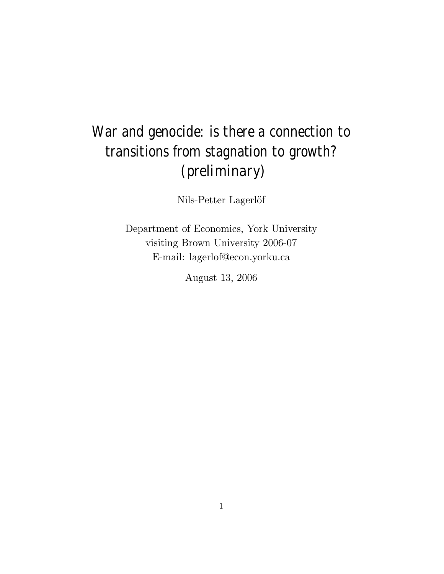# War and genocide: is there a connection to transitions from stagnation to growth? (preliminary)

Nils-Petter Lagerlöf

Department of Economics, York University visiting Brown University 2006-07 E-mail: lagerlof@econ.yorku.ca

August 13, 2006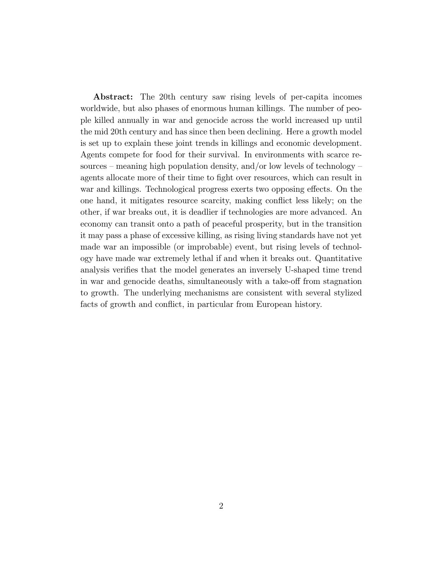Abstract: The 20th century saw rising levels of per-capita incomes worldwide, but also phases of enormous human killings. The number of people killed annually in war and genocide across the world increased up until the mid 20th century and has since then been declining. Here a growth model is set up to explain these joint trends in killings and economic development. Agents compete for food for their survival. In environments with scarce resources – meaning high population density, and/or low levels of technology – agents allocate more of their time to fight over resources, which can result in war and killings. Technological progress exerts two opposing effects. On the one hand, it mitigates resource scarcity, making conflict less likely; on the other, if war breaks out, it is deadlier if technologies are more advanced. An economy can transit onto a path of peaceful prosperity, but in the transition it may pass a phase of excessive killing, as rising living standards have not yet made war an impossible (or improbable) event, but rising levels of technology have made war extremely lethal if and when it breaks out. Quantitative analysis verifies that the model generates an inversely U-shaped time trend in war and genocide deaths, simultaneously with a take-off from stagnation to growth. The underlying mechanisms are consistent with several stylized facts of growth and conflict, in particular from European history.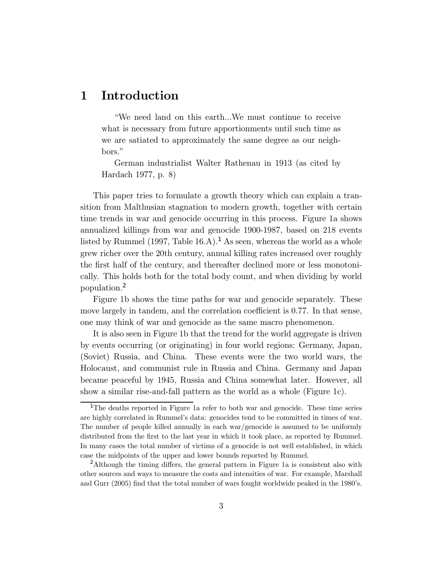# 1 Introduction

ìWe need land on this earth...We must continue to receive what is necessary from future apportionments until such time as we are satiated to approximately the same degree as our neighbors."

German industrialist Walter Rathenau in 1913 (as cited by Hardach 1977, p. 8)

This paper tries to formulate a growth theory which can explain a transition from Malthusian stagnation to modern growth, together with certain time trends in war and genocide occurring in this process. Figure 1a shows annualized killings from war and genocide 1900-1987, based on 218 events listed by Rummel (1997, Table 16.A).<sup>1</sup> As seen, whereas the world as a whole grew richer over the 20th century, annual killing rates increased over roughly the first half of the century, and thereafter declined more or less monotonically. This holds both for the total body count, and when dividing by world population.<sup>2</sup>

Figure 1b shows the time paths for war and genocide separately. These move largely in tandem, and the correlation coefficient is 0.77. In that sense, one may think of war and genocide as the same macro phenomenon.

It is also seen in Figure 1b that the trend for the world aggregate is driven by events occurring (or originating) in four world regions: Germany, Japan, (Soviet) Russia, and China. These events were the two world wars, the Holocaust, and communist rule in Russia and China. Germany and Japan became peaceful by 1945, Russia and China somewhat later. However, all show a similar rise-and-fall pattern as the world as a whole (Figure 1c).

<sup>1</sup>The deaths reported in Figure 1a refer to both war and genocide. These time series are highly correlated in Rummelís data: genocides tend to be committed in times of war. The number of people killed annually in each war/genocide is assumed to be uniformly distributed from the first to the last year in which it took place, as reported by Rummel. In many cases the total number of victims of a genocide is not well established, in which case the midpoints of the upper and lower bounds reported by Rummel.

<sup>&</sup>lt;sup>2</sup>Although the timing differs, the general pattern in Figure 1a is consistent also with other sources and ways to measure the costs and intensities of war. For example, Marshall and Gurr (2005) find that the total number of wars fought worldwide peaked in the 1980ís.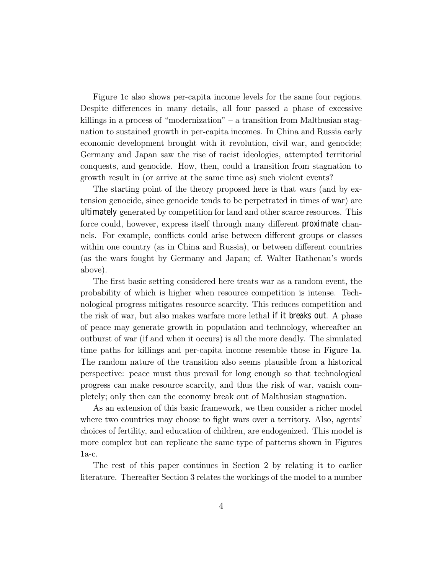Figure 1c also shows per-capita income levels for the same four regions. Despite differences in many details, all four passed a phase of excessive killings in a process of "modernization" – a transition from Malthusian stagnation to sustained growth in per-capita incomes. In China and Russia early economic development brought with it revolution, civil war, and genocide; Germany and Japan saw the rise of racist ideologies, attempted territorial conquests, and genocide. How, then, could a transition from stagnation to growth result in (or arrive at the same time as) such violent events?

The starting point of the theory proposed here is that wars (and by extension genocide, since genocide tends to be perpetrated in times of war) are ultimately generated by competition for land and other scarce resources. This force could, however, express itself through many different proximate channels. For example, conflicts could arise between different groups or classes within one country (as in China and Russia), or between different countries (as the wars fought by Germany and Japan; cf. Walter Rathenauís words above).

The first basic setting considered here treats war as a random event, the probability of which is higher when resource competition is intense. Technological progress mitigates resource scarcity. This reduces competition and the risk of war, but also makes warfare more lethal if it breaks out. A phase of peace may generate growth in population and technology, whereafter an outburst of war (if and when it occurs) is all the more deadly. The simulated time paths for killings and per-capita income resemble those in Figure 1a. The random nature of the transition also seems plausible from a historical perspective: peace must thus prevail for long enough so that technological progress can make resource scarcity, and thus the risk of war, vanish completely; only then can the economy break out of Malthusian stagnation.

As an extension of this basic framework, we then consider a richer model where two countries may choose to fight wars over a territory. Also, agents<sup>7</sup> choices of fertility, and education of children, are endogenized. This model is more complex but can replicate the same type of patterns shown in Figures 1a-c.

The rest of this paper continues in Section 2 by relating it to earlier literature. Thereafter Section 3 relates the workings of the model to a number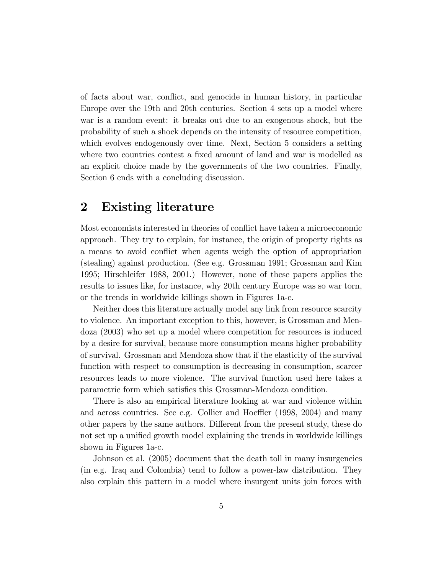of facts about war, conflict, and genocide in human history, in particular Europe over the 19th and 20th centuries. Section 4 sets up a model where war is a random event: it breaks out due to an exogenous shock, but the probability of such a shock depends on the intensity of resource competition, which evolves endogenously over time. Next, Section 5 considers a setting where two countries contest a fixed amount of land and war is modelled as an explicit choice made by the governments of the two countries. Finally, Section 6 ends with a concluding discussion.

# 2 Existing literature

Most economists interested in theories of conflict have taken a microeconomic approach. They try to explain, for instance, the origin of property rights as a means to avoid conflict when agents weigh the option of appropriation (stealing) against production. (See e.g. Grossman 1991; Grossman and Kim 1995; Hirschleifer 1988, 2001.) However, none of these papers applies the results to issues like, for instance, why 20th century Europe was so war torn, or the trends in worldwide killings shown in Figures 1a-c.

Neither does this literature actually model any link from resource scarcity to violence. An important exception to this, however, is Grossman and Mendoza (2003) who set up a model where competition for resources is induced by a desire for survival, because more consumption means higher probability of survival. Grossman and Mendoza show that if the elasticity of the survival function with respect to consumption is decreasing in consumption, scarcer resources leads to more violence. The survival function used here takes a parametric form which satisfies this Grossman-Mendoza condition.

There is also an empirical literature looking at war and violence within and across countries. See e.g. Collier and Hoeffler (1998, 2004) and many other papers by the same authors. Different from the present study, these do not set up a unified growth model explaining the trends in worldwide killings shown in Figures 1a-c.

Johnson et al. (2005) document that the death toll in many insurgencies (in e.g. Iraq and Colombia) tend to follow a power-law distribution. They also explain this pattern in a model where insurgent units join forces with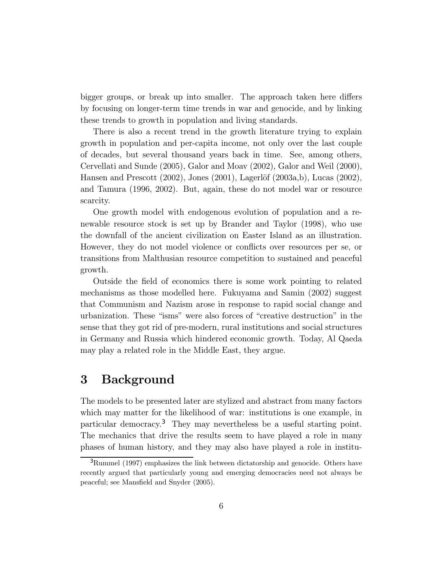bigger groups, or break up into smaller. The approach taken here differs by focusing on longer-term time trends in war and genocide, and by linking these trends to growth in population and living standards.

There is also a recent trend in the growth literature trying to explain growth in population and per-capita income, not only over the last couple of decades, but several thousand years back in time. See, among others, Cervellati and Sunde (2005), Galor and Moav (2002), Galor and Weil (2000), Hansen and Prescott  $(2002)$ , Jones  $(2001)$ , Lagerlöf  $(2003a,b)$ , Lucas  $(2002)$ , and Tamura (1996, 2002). But, again, these do not model war or resource scarcity.

One growth model with endogenous evolution of population and a renewable resource stock is set up by Brander and Taylor (1998), who use the downfall of the ancient civilization on Easter Island as an illustration. However, they do not model violence or conflicts over resources per se, or transitions from Malthusian resource competition to sustained and peaceful growth.

Outside the field of economics there is some work pointing to related mechanisms as those modelled here. Fukuyama and Samin (2002) suggest that Communism and Nazism arose in response to rapid social change and urbanization. These "isms" were also forces of "creative destruction" in the sense that they got rid of pre-modern, rural institutions and social structures in Germany and Russia which hindered economic growth. Today, Al Qaeda may play a related role in the Middle East, they argue.

# 3 Background

The models to be presented later are stylized and abstract from many factors which may matter for the likelihood of war: institutions is one example, in particular democracy.<sup>3</sup> They may nevertheless be a useful starting point. The mechanics that drive the results seem to have played a role in many phases of human history, and they may also have played a role in institu-

 $3$ Rummel (1997) emphasizes the link between dictatorship and genocide. Others have recently argued that particularly young and emerging democracies need not always be peaceful; see Mansfield and Snyder (2005).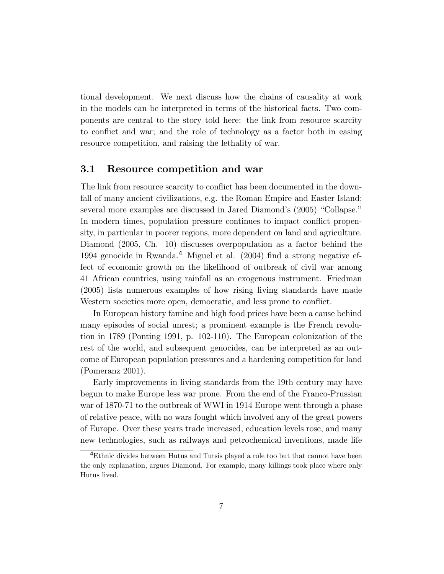tional development. We next discuss how the chains of causality at work in the models can be interpreted in terms of the historical facts. Two components are central to the story told here: the link from resource scarcity to conflict and war; and the role of technology as a factor both in easing resource competition, and raising the lethality of war.

### 3.1 Resource competition and war

The link from resource scarcity to conflict has been documented in the downfall of many ancient civilizations, e.g. the Roman Empire and Easter Island; several more examples are discussed in Jared Diamond's (2005) "Collapse." In modern times, population pressure continues to impact conflict propensity, in particular in poorer regions, more dependent on land and agriculture. Diamond (2005, Ch. 10) discusses overpopulation as a factor behind the 1994 genocide in Rwanda.<sup>4</sup> Miguel et al. (2004) find a strong negative effect of economic growth on the likelihood of outbreak of civil war among 41 African countries, using rainfall as an exogenous instrument. Friedman (2005) lists numerous examples of how rising living standards have made Western societies more open, democratic, and less prone to conflict.

In European history famine and high food prices have been a cause behind many episodes of social unrest; a prominent example is the French revolution in 1789 (Ponting 1991, p. 102-110). The European colonization of the rest of the world, and subsequent genocides, can be interpreted as an outcome of European population pressures and a hardening competition for land (Pomeranz 2001).

Early improvements in living standards from the 19th century may have begun to make Europe less war prone. From the end of the Franco-Prussian war of 1870-71 to the outbreak of WWI in 1914 Europe went through a phase of relative peace, with no wars fought which involved any of the great powers of Europe. Over these years trade increased, education levels rose, and many new technologies, such as railways and petrochemical inventions, made life

<sup>&</sup>lt;sup>4</sup>Ethnic divides between Hutus and Tutsis played a role too but that cannot have been the only explanation, argues Diamond. For example, many killings took place where only Hutus lived.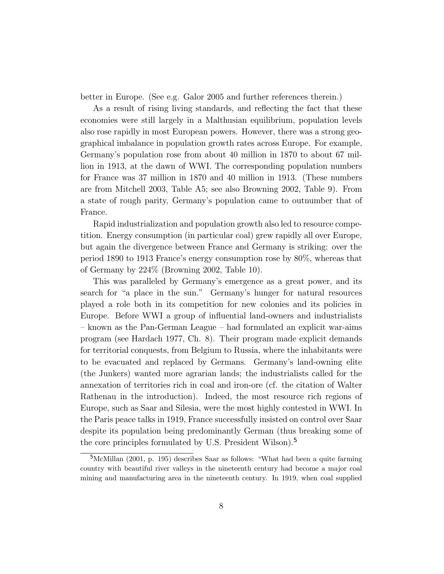better in Europe. (See e.g. Galor 2005 and further references therein.)

As a result of rising living standards, and reflecting the fact that these economies were still largely in a Malthusian equilibrium, population levels also rose rapidly in most European powers. However, there was a strong geographical imbalance in population growth rates across Europe. For example, Germanyís population rose from about 40 million in 1870 to about 67 million in 1913, at the dawn of WWI. The corresponding population numbers for France was 37 million in 1870 and 40 million in 1913. (These numbers are from Mitchell 2003, Table A5; see also Browning 2002, Table 9). From a state of rough parity, Germanyís population came to outnumber that of France.

Rapid industrialization and population growth also led to resource competition. Energy consumption (in particular coal) grew rapidly all over Europe, but again the divergence between France and Germany is striking: over the period 1890 to 1913 Franceís energy consumption rose by 80%, whereas that of Germany by 224% (Browning 2002, Table 10).

This was paralleled by Germany's emergence as a great power, and its search for "a place in the sun." Germany's hunger for natural resources played a role both in its competition for new colonies and its policies in Europe. Before WWI a group of influential land-owners and industrialists  $-$  known as the Pan-German League  $-$  had formulated an explicit war-aims program (see Hardach 1977, Ch. 8). Their program made explicit demands for territorial conquests, from Belgium to Russia, where the inhabitants were to be evacuated and replaced by Germans. Germanyís land-owning elite (the Junkers) wanted more agrarian lands; the industrialists called for the annexation of territories rich in coal and iron-ore (cf. the citation of Walter Rathenau in the introduction). Indeed, the most resource rich regions of Europe, such as Saar and Silesia, were the most highly contested in WWI. In the Paris peace talks in 1919, France successfully insisted on control over Saar despite its population being predominantly German (thus breaking some of the core principles formulated by U.S. President Wilson).<sup>5</sup>

 $5$ McMillan (2001, p. 195) describes Saar as follows: "What had been a quite farming country with beautiful river valleys in the nineteenth century had become a major coal mining and manufacturing area in the nineteenth century. In 1919, when coal supplied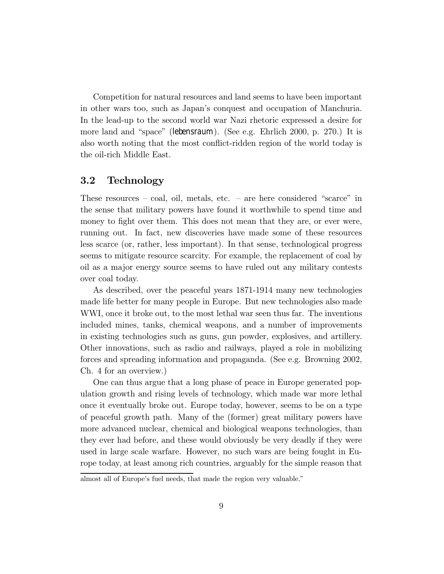Competition for natural resources and land seems to have been important in other wars too, such as Japanís conquest and occupation of Manchuria. In the lead-up to the second world war Nazi rhetoric expressed a desire for more land and "space" (lebensraum). (See e.g. Ehrlich 2000, p. 270.) It is also worth noting that the most conflict-ridden region of the world today is the oil-rich Middle East.

## 3.2 Technology

These resources  $\sim$  coal, oil, metals, etc.  $\sim$  are here considered "scarce" in the sense that military powers have found it worthwhile to spend time and money to fight over them. This does not mean that they are, or ever were, running out. In fact, new discoveries have made some of these resources less scarce (or, rather, less important). In that sense, technological progress seems to mitigate resource scarcity. For example, the replacement of coal by oil as a major energy source seems to have ruled out any military contests over coal today.

As described, over the peaceful years 1871-1914 many new technologies made life better for many people in Europe. But new technologies also made WWI, once it broke out, to the most lethal war seen thus far. The inventions included mines, tanks, chemical weapons, and a number of improvements in existing technologies such as guns, gun powder, explosives, and artillery. Other innovations, such as radio and railways, played a role in mobilizing forces and spreading information and propaganda. (See e.g. Browning 2002, Ch. 4 for an overview.)

One can thus argue that a long phase of peace in Europe generated population growth and rising levels of technology, which made war more lethal once it eventually broke out. Europe today, however, seems to be on a type of peaceful growth path. Many of the (former) great military powers have more advanced nuclear, chemical and biological weapons technologies, than they ever had before, and these would obviously be very deadly if they were used in large scale warfare. However, no such wars are being fought in Europe today, at least among rich countries, arguably for the simple reason that

almost all of Europe's fuel needs, that made the region very valuable."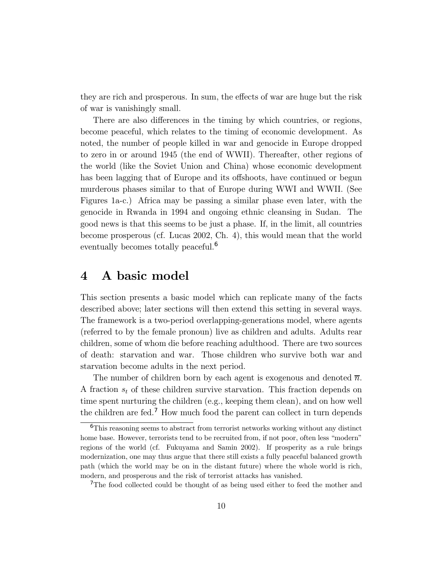they are rich and prosperous. In sum, the effects of war are huge but the risk of war is vanishingly small.

There are also differences in the timing by which countries, or regions, become peaceful, which relates to the timing of economic development. As noted, the number of people killed in war and genocide in Europe dropped to zero in or around 1945 (the end of WWII). Thereafter, other regions of the world (like the Soviet Union and China) whose economic development has been lagging that of Europe and its offshoots, have continued or begun murderous phases similar to that of Europe during WWI and WWII. (See Figures 1a-c.) Africa may be passing a similar phase even later, with the genocide in Rwanda in 1994 and ongoing ethnic cleansing in Sudan. The good news is that this seems to be just a phase. If, in the limit, all countries become prosperous (cf. Lucas 2002, Ch. 4), this would mean that the world eventually becomes totally peaceful.<sup>6</sup>

# 4 A basic model

This section presents a basic model which can replicate many of the facts described above; later sections will then extend this setting in several ways. The framework is a two-period overlapping-generations model, where agents (referred to by the female pronoun) live as children and adults. Adults rear children, some of whom die before reaching adulthood. There are two sources of death: starvation and war. Those children who survive both war and starvation become adults in the next period.

The number of children born by each agent is exogenous and denoted  $\overline{n}$ . A fraction  $s_t$  of these children survive starvation. This fraction depends on time spent nurturing the children (e.g., keeping them clean), and on how well the children are fed.<sup>7</sup> How much food the parent can collect in turn depends

<sup>6</sup>This reasoning seems to abstract from terrorist networks working without any distinct home base. However, terrorists tend to be recruited from, if not poor, often less "modern" regions of the world (cf. Fukuyama and Samin 2002). If prosperity as a rule brings modernization, one may thus argue that there still exists a fully peaceful balanced growth path (which the world may be on in the distant future) where the whole world is rich, modern, and prosperous and the risk of terrorist attacks has vanished.

<sup>&</sup>lt;sup>7</sup>The food collected could be thought of as being used either to feed the mother and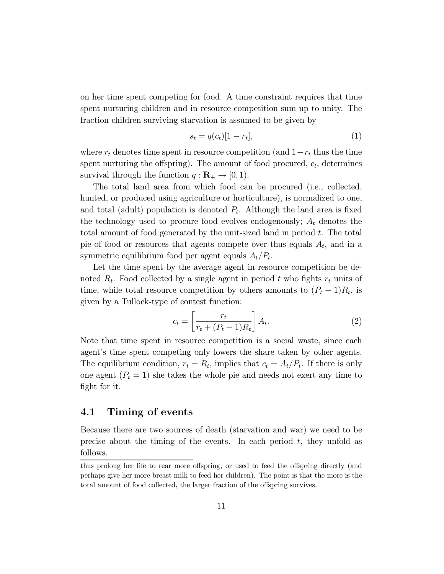on her time spent competing for food. A time constraint requires that time spent nurturing children and in resource competition sum up to unity. The fraction children surviving starvation is assumed to be given by

$$
s_t = q(c_t)[1 - r_t],\tag{1}
$$

where  $r_t$  denotes time spent in resource competition (and  $1-r_t$  thus the time spent nurturing the offspring). The amount of food procured,  $c_t$ , determines survival through the function  $q : \mathbf{R}_{+} \to [0, 1)$ .

The total land area from which food can be procured (i.e., collected, hunted, or produced using agriculture or horticulture), is normalized to one, and total (adult) population is denoted  $P_t$ . Although the land area is fixed the technology used to procure food evolves endogenously;  $A_t$  denotes the total amount of food generated by the unit-sized land in period  $t$ . The total pie of food or resources that agents compete over thus equals  $A_t$ , and in a symmetric equilibrium food per agent equals  $A_t/P_t$ .

Let the time spent by the average agent in resource competition be denoted  $R_t$ . Food collected by a single agent in period t who fights  $r_t$  units of time, while total resource competition by others amounts to  $(P_t - 1)R_t$ , is given by a Tullock-type of contest function:

$$
c_t = \left[\frac{r_t}{r_t + (P_t - 1)R_t}\right]A_t.
$$
\n(2)

Note that time spent in resource competition is a social waste, since each agent's time spent competing only lowers the share taken by other agents. The equilibrium condition,  $r_t = R_t$ , implies that  $c_t = A_t/P_t$ . If there is only one agent  $(P_t = 1)$  she takes the whole pie and needs not exert any time to fight for it.

# 4.1 Timing of events

Because there are two sources of death (starvation and war) we need to be precise about the timing of the events. In each period  $t$ , they unfold as follows.

thus prolong her life to rear more offspring, or used to feed the offspring directly (and perhaps give her more breast milk to feed her children). The point is that the more is the total amount of food collected, the larger fraction of the offspring survives.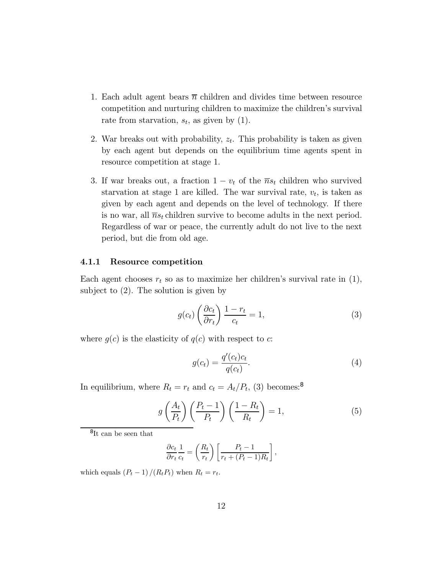- 1. Each adult agent bears  $\overline{n}$  children and divides time between resource competition and nurturing children to maximize the children's survival rate from starvation,  $s_t$ , as given by (1).
- 2. War breaks out with probability,  $z_t$ . This probability is taken as given by each agent but depends on the equilibrium time agents spent in resource competition at stage 1.
- 3. If war breaks out, a fraction  $1 v_t$  of the  $\overline{n} s_t$  children who survived starvation at stage 1 are killed. The war survival rate,  $v_t$ , is taken as given by each agent and depends on the level of technology. If there is no war, all  $\overline{n}s_t$  children survive to become adults in the next period. Regardless of war or peace, the currently adult do not live to the next period, but die from old age.

#### 4.1.1 Resource competition

Each agent chooses  $r_t$  so as to maximize her children's survival rate in  $(1)$ , subject to (2). The solution is given by

$$
g(c_t) \left(\frac{\partial c_t}{\partial r_t}\right) \frac{1 - r_t}{c_t} = 1,\tag{3}
$$

where  $g(c)$  is the elasticity of  $g(c)$  with respect to c:

$$
g(c_t) = \frac{q'(c_t)c_t}{q(c_t)}.\t\t(4)
$$

In equilibrium, where  $R_t = r_t$  and  $c_t = A_t/P_t$ , (3) becomes:<sup>8</sup>

$$
g\left(\frac{A_t}{P_t}\right)\left(\frac{P_t - 1}{P_t}\right)\left(\frac{1 - R_t}{R_t}\right) = 1,\tag{5}
$$

 $^8{\rm It}$  can be seen that

$$
\frac{\partial c_t}{\partial r_t} \frac{1}{c_t} = \left(\frac{R_t}{r_t}\right) \left[\frac{P_t - 1}{r_t + (P_t - 1)R_t}\right],
$$

which equals  $(P_t - 1)/(R_t P_t)$  when  $R_t = r_t$ .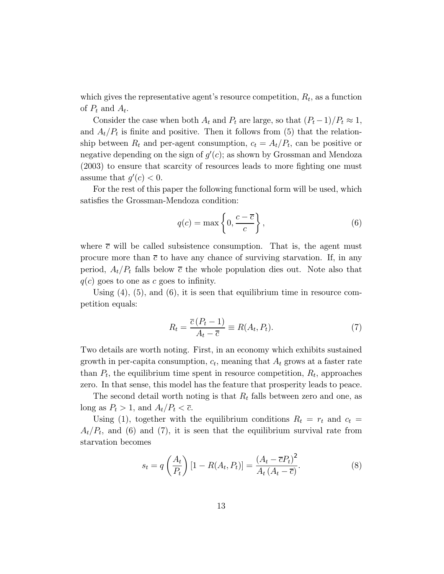which gives the representative agent's resource competition,  $R_t$ , as a function of  $P_t$  and  $A_t$ .

Consider the case when both  $A_t$  and  $P_t$  are large, so that  $(P_t-1)/P_t \approx 1$ , and  $A_t/P_t$  is finite and positive. Then it follows from (5) that the relationship between  $R_t$  and per-agent consumption,  $c_t = A_t/P_t$ , can be positive or negative depending on the sign of  $g'(c)$ ; as shown by Grossman and Mendoza (2003) to ensure that scarcity of resources leads to more fighting one must assume that  $g'(c) < 0$ .

For the rest of this paper the following functional form will be used, which satisfies the Grossman-Mendoza condition:

$$
q(c) = \max\left\{0, \frac{c - \overline{c}}{c}\right\},\tag{6}
$$

where  $\bar{c}$  will be called subsistence consumption. That is, the agent must procure more than  $\bar{c}$  to have any chance of surviving starvation. If, in any period,  $A_t/P_t$  falls below  $\bar{c}$  the whole population dies out. Note also that  $q(c)$  goes to one as c goes to infinity.

Using  $(4)$ ,  $(5)$ , and  $(6)$ , it is seen that equilibrium time in resource competition equals:

$$
R_t = \frac{\overline{c}(P_t - 1)}{A_t - \overline{c}} \equiv R(A_t, P_t). \tag{7}
$$

Two details are worth noting. First, in an economy which exhibits sustained growth in per-capita consumption,  $c_t$ , meaning that  $A_t$  grows at a faster rate than  $P_t$ , the equilibrium time spent in resource competition,  $R_t$ , approaches zero. In that sense, this model has the feature that prosperity leads to peace.

The second detail worth noting is that  $R_t$  falls between zero and one, as long as  $P_t > 1$ , and  $A_t/P_t < \overline{c}$ .

Using (1), together with the equilibrium conditions  $R_t = r_t$  and  $c_t =$  $A_t/P_t$ , and (6) and (7), it is seen that the equilibrium survival rate from starvation becomes

$$
s_t = q\left(\frac{A_t}{P_t}\right)\left[1 - R(A_t, P_t)\right] = \frac{\left(A_t - \overline{c}P_t\right)^2}{A_t\left(A_t - \overline{c}\right)}.\tag{8}
$$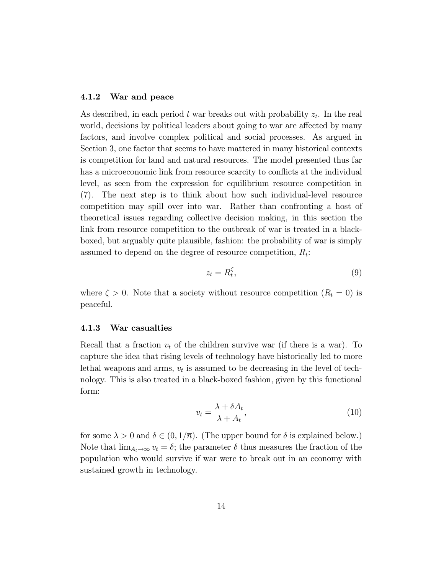#### 4.1.2 War and peace

As described, in each period t war breaks out with probability  $z_t$ . In the real world, decisions by political leaders about going to war are affected by many factors, and involve complex political and social processes. As argued in Section 3, one factor that seems to have mattered in many historical contexts is competition for land and natural resources. The model presented thus far has a microeconomic link from resource scarcity to conflicts at the individual level, as seen from the expression for equilibrium resource competition in (7). The next step is to think about how such individual-level resource competition may spill over into war. Rather than confronting a host of theoretical issues regarding collective decision making, in this section the link from resource competition to the outbreak of war is treated in a blackboxed, but arguably quite plausible, fashion: the probability of war is simply assumed to depend on the degree of resource competition,  $R_t$ :

$$
z_t = R_t^{\zeta},\tag{9}
$$

where  $\zeta > 0$ . Note that a society without resource competition  $(R_t = 0)$  is peaceful.

#### 4.1.3 War casualties

Recall that a fraction  $v_t$  of the children survive war (if there is a war). To capture the idea that rising levels of technology have historically led to more lethal weapons and arms,  $v_t$  is assumed to be decreasing in the level of technology. This is also treated in a black-boxed fashion, given by this functional form:

$$
v_t = \frac{\lambda + \delta A_t}{\lambda + A_t},\tag{10}
$$

for some  $\lambda > 0$  and  $\delta \in (0, 1/\overline{n})$ . (The upper bound for  $\delta$  is explained below.) Note that  $\lim_{A_t\to\infty}v_t=\delta$ ; the parameter  $\delta$  thus measures the fraction of the population who would survive if war were to break out in an economy with sustained growth in technology.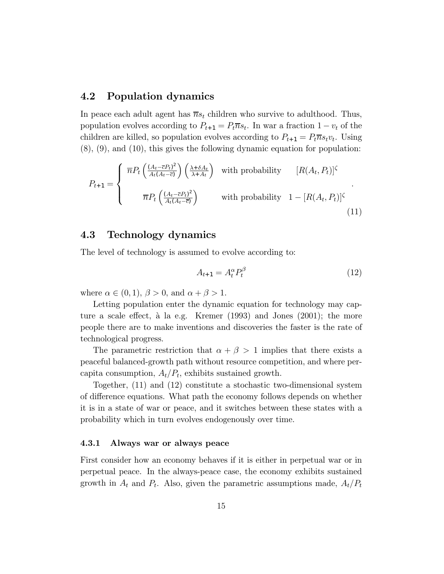### 4.2 Population dynamics

In peace each adult agent has  $\overline{n}s_t$  children who survive to adulthood. Thus, population evolves according to  $P_{t+1} = P_t \overline{n} s_t$ . In war a fraction  $1 - v_t$  of the children are killed, so population evolves according to  $P_{t+1} = P_t \overline{n} s_t v_t$ . Using (8), (9), and (10), this gives the following dynamic equation for population:

$$
P_{t+1} = \begin{cases} \n\overline{n} P_t \left( \frac{(A_t - \overline{c} P_t)^2}{A_t (A_t - \overline{c})} \right) \left( \frac{\lambda + \delta A_t}{\lambda + A_t} \right) & \text{with probability} \quad [R(A_t, P_t)]^{\zeta} \\ \n\overline{n} P_t \left( \frac{(A_t - \overline{c} P_t)^2}{A_t (A_t - \overline{c})} \right) & \text{with probability} \quad 1 - [R(A_t, P_t)]^{\zeta} \n\end{cases} \tag{11}
$$

### 4.3 Technology dynamics

The level of technology is assumed to evolve according to:

$$
A_{t+1} = A_t^{\alpha} P_t^{\beta} \tag{12}
$$

where  $\alpha \in (0,1)$ ,  $\beta > 0$ , and  $\alpha + \beta > 1$ .

Letting population enter the dynamic equation for technology may capture a scale effect, à la e.g. Kremer  $(1993)$  and Jones  $(2001)$ ; the more people there are to make inventions and discoveries the faster is the rate of technological progress.

The parametric restriction that  $\alpha + \beta > 1$  implies that there exists a peaceful balanced-growth path without resource competition, and where percapita consumption,  $A_t/P_t$ , exhibits sustained growth.

Together, (11) and (12) constitute a stochastic two-dimensional system of difference equations. What path the economy follows depends on whether it is in a state of war or peace, and it switches between these states with a probability which in turn evolves endogenously over time.

#### 4.3.1 Always war or always peace

First consider how an economy behaves if it is either in perpetual war or in perpetual peace. In the always-peace case, the economy exhibits sustained growth in  $A_t$  and  $P_t$ . Also, given the parametric assumptions made,  $A_t/P_t$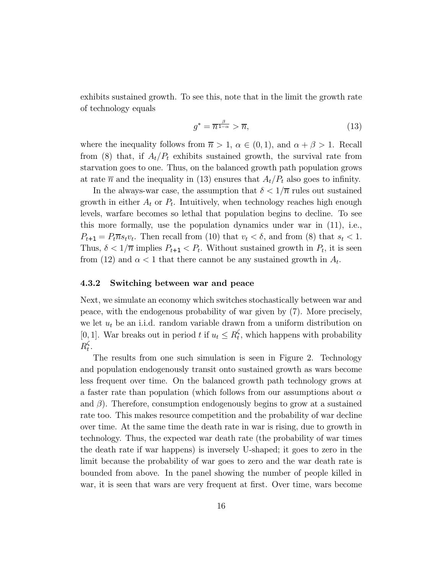exhibits sustained growth. To see this, note that in the limit the growth rate of technology equals

$$
g^* = \overline{n}^{\frac{\beta}{1-\alpha}} > \overline{n},\tag{13}
$$

where the inequality follows from  $\overline{n} > 1$ ,  $\alpha \in (0,1)$ , and  $\alpha + \beta > 1$ . Recall from (8) that, if  $A_t/P_t$  exhibits sustained growth, the survival rate from starvation goes to one. Thus, on the balanced growth path population grows at rate  $\bar{n}$  and the inequality in (13) ensures that  $A_t/P_t$  also goes to infinity.

In the always-war case, the assumption that  $\delta < 1/\overline{n}$  rules out sustained growth in either  $A_t$  or  $P_t$ . Intuitively, when technology reaches high enough levels, warfare becomes so lethal that population begins to decline. To see this more formally, use the population dynamics under war in (11), i.e.,  $P_{t+1} = P_t \overline{n} s_t v_t$ . Then recall from (10) that  $v_t < \delta$ , and from (8) that  $s_t < 1$ . Thus,  $\delta < 1/\overline{n}$  implies  $P_{t+1} < P_t$ . Without sustained growth in  $P_t$ , it is seen from (12) and  $\alpha < 1$  that there cannot be any sustained growth in  $A_t$ .

#### 4.3.2 Switching between war and peace

Next, we simulate an economy which switches stochastically between war and peace, with the endogenous probability of war given by (7). More precisely, we let  $u_t$  be an i.i.d. random variable drawn from a uniform distribution on [0, 1]. War breaks out in period t if  $u_t \leq R_t^{\zeta}$ , which happens with probability  $R_t^{\zeta}$ .

The results from one such simulation is seen in Figure 2. Technology and population endogenously transit onto sustained growth as wars become less frequent over time. On the balanced growth path technology grows at a faster rate than population (which follows from our assumptions about  $\alpha$ and  $\beta$ ). Therefore, consumption endogenously begins to grow at a sustained rate too. This makes resource competition and the probability of war decline over time. At the same time the death rate in war is rising, due to growth in technology. Thus, the expected war death rate (the probability of war times the death rate if war happens) is inversely U-shaped; it goes to zero in the limit because the probability of war goes to zero and the war death rate is bounded from above. In the panel showing the number of people killed in war, it is seen that wars are very frequent at first. Over time, wars become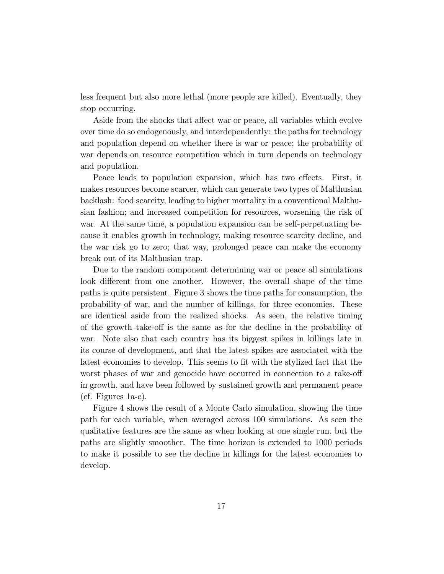less frequent but also more lethal (more people are killed). Eventually, they stop occurring.

Aside from the shocks that affect war or peace, all variables which evolve over time do so endogenously, and interdependently: the paths for technology and population depend on whether there is war or peace; the probability of war depends on resource competition which in turn depends on technology and population.

Peace leads to population expansion, which has two effects. First, it makes resources become scarcer, which can generate two types of Malthusian backlash: food scarcity, leading to higher mortality in a conventional Malthusian fashion; and increased competition for resources, worsening the risk of war. At the same time, a population expansion can be self-perpetuating because it enables growth in technology, making resource scarcity decline, and the war risk go to zero; that way, prolonged peace can make the economy break out of its Malthusian trap.

Due to the random component determining war or peace all simulations look different from one another. However, the overall shape of the time paths is quite persistent. Figure 3 shows the time paths for consumption, the probability of war, and the number of killings, for three economies. These are identical aside from the realized shocks. As seen, the relative timing of the growth take-off is the same as for the decline in the probability of war. Note also that each country has its biggest spikes in killings late in its course of development, and that the latest spikes are associated with the latest economies to develop. This seems to fit with the stylized fact that the worst phases of war and genocide have occurred in connection to a take-off in growth, and have been followed by sustained growth and permanent peace (cf. Figures 1a-c).

Figure 4 shows the result of a Monte Carlo simulation, showing the time path for each variable, when averaged across 100 simulations. As seen the qualitative features are the same as when looking at one single run, but the paths are slightly smoother. The time horizon is extended to 1000 periods to make it possible to see the decline in killings for the latest economies to develop.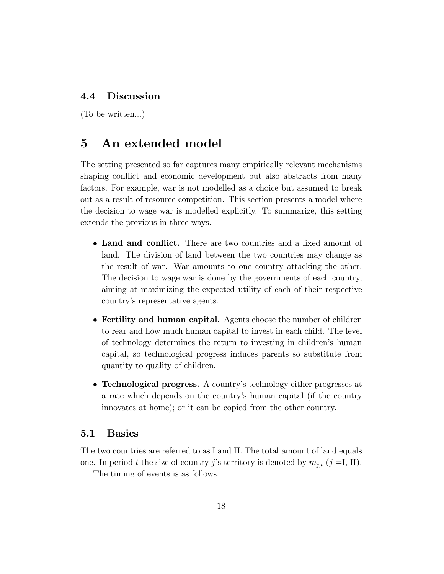# 4.4 Discussion

(To be written...)

# 5 An extended model

The setting presented so far captures many empirically relevant mechanisms shaping conflict and economic development but also abstracts from many factors. For example, war is not modelled as a choice but assumed to break out as a result of resource competition. This section presents a model where the decision to wage war is modelled explicitly. To summarize, this setting extends the previous in three ways.

- Land and conflict. There are two countries and a fixed amount of land. The division of land between the two countries may change as the result of war. War amounts to one country attacking the other. The decision to wage war is done by the governments of each country, aiming at maximizing the expected utility of each of their respective countryís representative agents.
- Fertility and human capital. Agents choose the number of children to rear and how much human capital to invest in each child. The level of technology determines the return to investing in children's human capital, so technological progress induces parents so substitute from quantity to quality of children.
- Technological progress. A country's technology either progresses at a rate which depends on the countryís human capital (if the country innovates at home); or it can be copied from the other country.

### 5.1 Basics

The two countries are referred to as I and II. The total amount of land equals one. In period t the size of country j's territory is denoted by  $m_{j,t}$   $(j = I, II)$ .

The timing of events is as follows.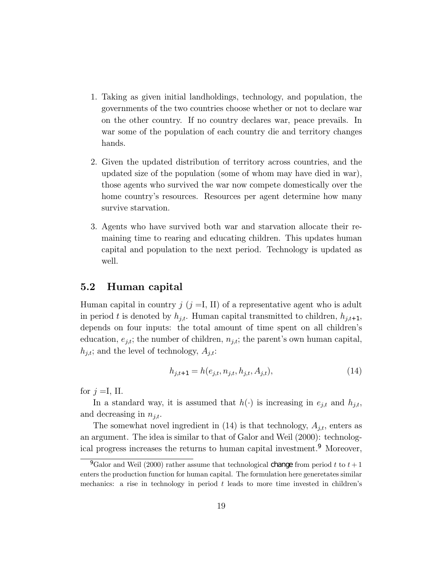- 1. Taking as given initial landholdings, technology, and population, the governments of the two countries choose whether or not to declare war on the other country. If no country declares war, peace prevails. In war some of the population of each country die and territory changes hands.
- 2. Given the updated distribution of territory across countries, and the updated size of the population (some of whom may have died in war), those agents who survived the war now compete domestically over the home country's resources. Resources per agent determine how many survive starvation.
- 3. Agents who have survived both war and starvation allocate their remaining time to rearing and educating children. This updates human capital and population to the next period. Technology is updated as well.

# 5.2 Human capital

Human capital in country  $j$  ( $j = I$ , II) of a representative agent who is adult in period t is denoted by  $h_{i,t}$ . Human capital transmitted to children,  $h_{i,t+1}$ , depends on four inputs: the total amount of time spent on all children's education,  $e_{j,t}$ ; the number of children,  $n_{j,t}$ ; the parent's own human capital,  $h_{j,t}$ ; and the level of technology,  $A_{j,t}$ :

$$
h_{j,t+1} = h(e_{j,t}, n_{j,t}, h_{j,t}, A_{j,t}),
$$
\n(14)

for  $j = I$ , II.

In a standard way, it is assumed that  $h(\cdot)$  is increasing in  $e_{j,t}$  and  $h_{j,t}$ , and decreasing in  $n_{i,t}$ .

The somewhat novel ingredient in  $(14)$  is that technology,  $A_{j,t}$ , enters as an argument. The idea is similar to that of Galor and Weil (2000): technological progress increases the returns to human capital investment.<sup>9</sup> Moreover,

<sup>&</sup>lt;sup>9</sup>Galor and Weil (2000) rather assume that technological change from period t to  $t + 1$ enters the production function for human capital. The formulation here generetates similar mechanics: a rise in technology in period  $t$  leads to more time invested in children's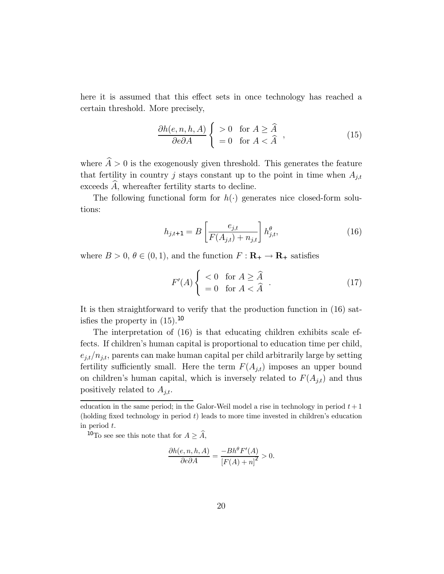here it is assumed that this effect sets in once technology has reached a certain threshold. More precisely,

$$
\frac{\partial h(e, n, h, A)}{\partial e \partial A} \begin{cases} > 0 & \text{for } A \ge \widehat{A} \\ = 0 & \text{for } A < \widehat{A} \end{cases},
$$
(15)

where  $\widehat{A} > 0$  is the exogenously given threshold. This generates the feature that fertility in country j stays constant up to the point in time when  $A_{j,t}$ exceeds  $\widehat{A}$ , whereafter fertility starts to decline.

The following functional form for  $h(\cdot)$  generates nice closed-form solutions:

$$
h_{j,t+1} = B\left[\frac{e_{j,t}}{F(A_{j,t}) + n_{j,t}}\right] h_{j,t}^{\theta},\tag{16}
$$

where  $B > 0$ ,  $\theta \in (0, 1)$ , and the function  $F: \mathbf{R}_{+} \to \mathbf{R}_{+}$  satisfies

$$
F'(A) \begin{cases} < 0 \quad \text{for } A \ge \widehat{A} \\ = 0 \quad \text{for } A < \widehat{A} \end{cases} . \tag{17}
$$

It is then straightforward to verify that the production function in (16) satisfies the property in  $(15)$ .<sup>10</sup>

The interpretation of (16) is that educating children exhibits scale effects. If children's human capital is proportional to education time per child,  $e_{j,t}/n_{j,t}$ , parents can make human capital per child arbitrarily large by setting fertility sufficiently small. Here the term  $F(A_{j,t})$  imposes an upper bound on children's human capital, which is inversely related to  $F(A_{j,t})$  and thus positively related to  $A_{j,t}$ .

$$
\frac{\partial h(e, n, h, A)}{\partial e \partial A} = \frac{-Bh^{\theta} F'(A)}{\left[F(A) + n\right]^2} > 0.
$$

education in the same period; in the Galor-Weil model a rise in technology in period  $t + 1$ (holding fixed technology in period  $t$ ) leads to more time invested in children's education in period t.

<sup>&</sup>lt;sup>10</sup>To see see this note that for  $A \geq \widehat{A}$ ,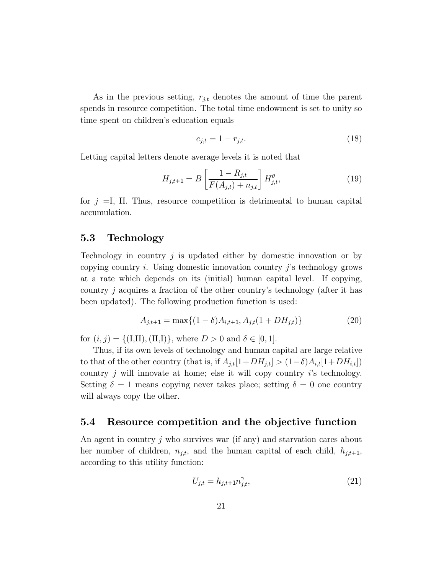As in the previous setting,  $r_{j,t}$  denotes the amount of time the parent spends in resource competition. The total time endowment is set to unity so time spent on children's education equals

$$
e_{j,t} = 1 - r_{j,t}.\tag{18}
$$

Letting capital letters denote average levels it is noted that

$$
H_{j,t+1} = B\left[\frac{1 - R_{j,t}}{F(A_{j,t}) + n_{j,t}}\right] H_{j,t}^{\theta},\tag{19}
$$

for  $j = I$ , II. Thus, resource competition is detrimental to human capital accumulation.

### 5.3 Technology

Technology in country  $j$  is updated either by domestic innovation or by copying country  $i$ . Using domestic innovation country  $j$ 's technology grows at a rate which depends on its (initial) human capital level. If copying, country j acquires a fraction of the other countryís technology (after it has been updated). The following production function is used:

$$
A_{j,t+1} = \max\{(1-\delta)A_{i,t+1}, A_{j,t}(1+DH_{j,t})\}
$$
\n(20)

for  $(i, j) = \{(I, II), (II, I)\}\,$ , where  $D > 0$  and  $\delta \in [0, 1].$ 

Thus, if its own levels of technology and human capital are large relative to that of the other country (that is, if  $A_{j,t}[1+DH_{j,t}] > (1-\delta)A_{i,t}[1+DH_{i,t}]$ ) country  $j$  will innovate at home; else it will copy country  $i$ 's technology. Setting  $\delta = 1$  means copying never takes place; setting  $\delta = 0$  one country will always copy the other.

#### 5.4 Resource competition and the objective function

An agent in country j who survives war (if any) and starvation cares about her number of children,  $n_{j,t}$ , and the human capital of each child,  $h_{j,t+1}$ , according to this utility function:

$$
U_{j,t} = h_{j,t+1} n_{j,t}^{\gamma}, \tag{21}
$$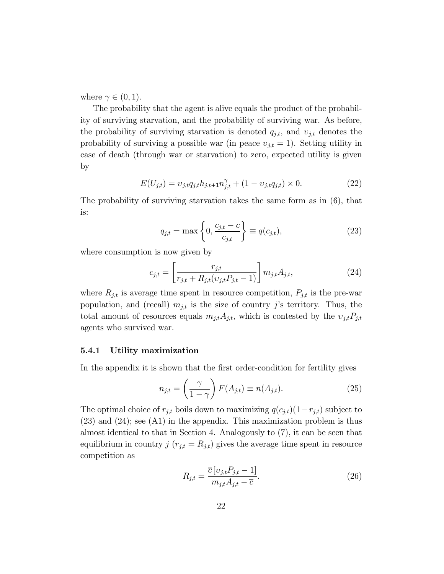where  $\gamma \in (0,1)$ .

The probability that the agent is alive equals the product of the probability of surviving starvation, and the probability of surviving war. As before, the probability of surviving starvation is denoted  $q_{j,t}$ , and  $v_{j,t}$  denotes the probability of surviving a possible war (in peace  $v_{j,t} = 1$ ). Setting utility in case of death (through war or starvation) to zero, expected utility is given by

$$
E(U_{j,t}) = \nu_{j,t} q_{j,t} h_{j,t+1} n_{j,t}^{\gamma} + (1 - \nu_{j,t} q_{j,t}) \times 0.
$$
 (22)

The probability of surviving starvation takes the same form as in (6), that is:

$$
q_{j,t} = \max\left\{0, \frac{c_{j,t} - \overline{c}}{c_{j,t}}\right\} \equiv q(c_{j,t}),\tag{23}
$$

where consumption is now given by

$$
c_{j,t} = \left[\frac{r_{j,t}}{r_{j,t} + R_{j,t}(v_{j,t}P_{j,t} - 1)}\right] m_{j,t} A_{j,t},\tag{24}
$$

where  $R_{j,t}$  is average time spent in resource competition,  $P_{j,t}$  is the pre-war population, and (recall)  $m_{j,t}$  is the size of country j's territory. Thus, the total amount of resources equals  $m_{j,t}A_{j,t}$ , which is contested by the  $v_{j,t}P_{j,t}$ agents who survived war.

#### 5.4.1 Utility maximization

In the appendix it is shown that the first order-condition for fertility gives

$$
n_{j,t} = \left(\frac{\gamma}{1-\gamma}\right) F(A_{j,t}) \equiv n(A_{j,t}). \tag{25}
$$

The optimal choice of  $r_{j,t}$  boils down to maximizing  $q(c_{j,t})(1-r_{j,t})$  subject to (23) and (24); see (A1) in the appendix. This maximization problem is thus almost identical to that in Section 4. Analogously to (7), it can be seen that equilibrium in country  $j(r_{j,t} = R_{j,t})$  gives the average time spent in resource competition as

$$
R_{j,t} = \frac{\overline{c} [v_{j,t} P_{j,t} - 1]}{m_{j,t} A_{j,t} - \overline{c}}.
$$
\n(26)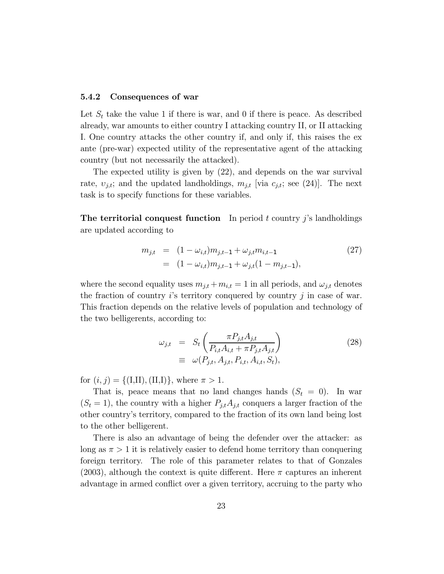#### 5.4.2 Consequences of war

Let  $S_t$  take the value 1 if there is war, and 0 if there is peace. As described already, war amounts to either country I attacking country II, or II attacking I. One country attacks the other country if, and only if, this raises the ex ante (pre-war) expected utility of the representative agent of the attacking country (but not necessarily the attacked).

The expected utility is given by (22), and depends on the war survival rate,  $v_{j,t}$ ; and the updated landholdings,  $m_{j,t}$  [via  $c_{j,t}$ ; see (24)]. The next task is to specify functions for these variables.

**The territorial conquest function** In period t country j's landholdings are updated according to

$$
m_{j,t} = (1 - \omega_{i,t})m_{j,t-1} + \omega_{j,t}m_{i,t-1}
$$
  
= 
$$
(1 - \omega_{i,t})m_{j,t-1} + \omega_{j,t}(1 - m_{j,t-1}),
$$
 (27)

where the second equality uses  $m_{j,t} + m_{i,t} = 1$  in all periods, and  $\omega_{j,t}$  denotes the fraction of country  $i$ 's territory conquered by country  $j$  in case of war. This fraction depends on the relative levels of population and technology of the two belligerents, according to:

$$
\omega_{j,t} = S_t \left( \frac{\pi P_{j,t} A_{j,t}}{P_{i,t} A_{i,t} + \pi P_{j,t} A_{j,t}} \right)
$$
\n
$$
\equiv \omega(P_{j,t}, A_{j,t}, P_{i,t}, A_{i,t}, S_t),
$$
\n(28)

for  $(i, j) = \{(I, II), (II, I)\}\,$ , where  $\pi > 1$ .

That is, peace means that no land changes hands  $(S_t = 0)$ . In war  $(S_t = 1)$ , the country with a higher  $P_{j,t}A_{j,t}$  conquers a larger fraction of the other countryís territory, compared to the fraction of its own land being lost to the other belligerent.

There is also an advantage of being the defender over the attacker: as long as  $\pi > 1$  it is relatively easier to defend home territory than conquering foreign territory. The role of this parameter relates to that of Gonzales (2003), although the context is quite different. Here  $\pi$  captures an inherent advantage in armed conflict over a given territory, accruing to the party who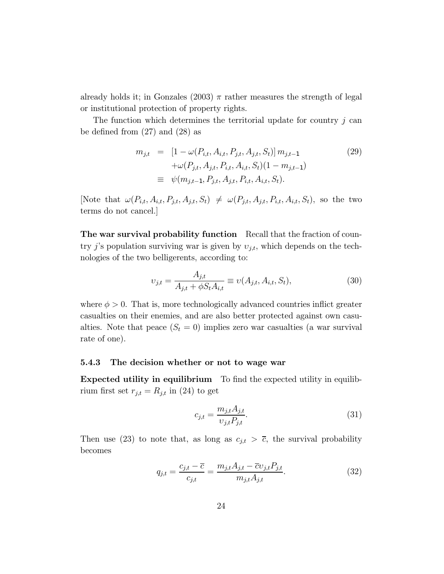already holds it; in Gonzales  $(2003)$   $\pi$  rather measures the strength of legal or institutional protection of property rights.

The function which determines the territorial update for country  $j$  can be defined from (27) and (28) as

$$
m_{j,t} = [1 - \omega(P_{i,t}, A_{i,t}, P_{j,t}, A_{j,t}, S_t)] m_{j,t-1}
$$
  
+
$$
\omega(P_{j,t}, A_{j,t}, P_{i,t}, A_{i,t}, S_t)(1 - m_{j,t-1})
$$
  

$$
\equiv \psi(m_{j,t-1}, P_{j,t}, A_{j,t}, P_{i,t}, A_{i,t}, S_t).
$$
 (29)

[Note that  $\omega(P_{i,t}, A_{i,t}, P_{j,t}, A_{j,t}, S_t) \neq \omega(P_{j,t}, A_{j,t}, P_{i,t}, A_{i,t}, S_t)$ , so the two terms do not cancel.]

The war survival probability function Recall that the fraction of country j's population surviving war is given by  $v_{j,t}$ , which depends on the technologies of the two belligerents, according to:

$$
v_{j,t} = \frac{A_{j,t}}{A_{j,t} + \phi S_t A_{i,t}} \equiv v(A_{j,t}, A_{i,t}, S_t),
$$
\n(30)

where  $\phi > 0$ . That is, more technologically advanced countries inflict greater casualties on their enemies, and are also better protected against own casualties. Note that peace  $(S_t = 0)$  implies zero war casualties (a war survival rate of one).

#### 5.4.3 The decision whether or not to wage war

Expected utility in equilibrium To find the expected utility in equilibrium first set  $r_{j,t} = R_{j,t}$  in (24) to get

$$
c_{j,t} = \frac{m_{j,t} A_{j,t}}{v_{j,t} P_{j,t}}.
$$
\n(31)

Then use (23) to note that, as long as  $c_{j,t} > \overline{c}$ , the survival probability becomes

$$
q_{j,t} = \frac{c_{j,t} - \overline{c}}{c_{j,t}} = \frac{m_{j,t}A_{j,t} - \overline{c}v_{j,t}P_{j,t}}{m_{j,t}A_{j,t}}.
$$
(32)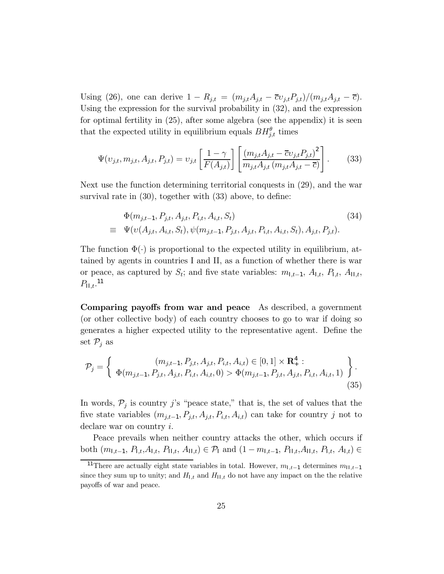Using (26), one can derive  $1 - R_{j,t} = (m_{j,t}A_{j,t} - \overline{c}v_{j,t}P_{j,t})/(m_{j,t}A_{j,t} - \overline{c}).$ Using the expression for the survival probability in (32), and the expression for optimal fertility in (25), after some algebra (see the appendix) it is seen that the expected utility in equilibrium equals  $BH^{\theta}_{j,t}$  times

$$
\Psi(v_{j,t}, m_{j,t}, A_{j,t}, P_{j,t}) = v_{j,t} \left[ \frac{1 - \gamma}{F(A_{j,t})} \right] \left[ \frac{(m_{j,t}A_{j,t} - \overline{c}v_{j,t}P_{j,t})^2}{m_{j,t}A_{j,t} (m_{j,t}A_{j,t} - \overline{c})} \right].
$$
 (33)

Next use the function determining territorial conquests in (29), and the war survival rate in (30), together with (33) above, to define:

$$
\Phi(m_{j,t-1}, P_{j,t}, A_{j,t}, P_{i,t}, A_{i,t}, S_t)
$$
\n
$$
\equiv \Psi(\nu(A_{j,t}, A_{i,t}, S_t), \psi(m_{j,t-1}, P_{j,t}, A_{j,t}, P_{i,t}, A_{i,t}, S_t), A_{j,t}, P_{j,t}).
$$
\n(34)

The function  $\Phi(\cdot)$  is proportional to the expected utility in equilibrium, attained by agents in countries I and II, as a function of whether there is war or peace, as captured by  $S_t$ ; and five state variables:  $m_{1,t-1}$ ,  $A_{1,t}$ ,  $P_{1,t}$ ,  $A_{11,t}$ ,  $P_{\text{II},t}$ .<sup>11</sup>

Comparing payoffs from war and peace As described, a government (or other collective body) of each country chooses to go to war if doing so generates a higher expected utility to the representative agent. Define the set  $\mathcal{P}_j$  as

$$
\mathcal{P}_{j} = \begin{cases} (m_{j,t-1}, P_{j,t}, A_{j,t}, P_{i,t}, A_{i,t}) \in [0,1] \times \mathbf{R}_{+}^{4} : \\ \Phi(m_{j,t-1}, P_{j,t}, A_{j,t}, P_{i,t}, A_{i,t}, 0) > \Phi(m_{j,t-1}, P_{j,t}, A_{j,t}, P_{i,t}, A_{i,t}, 1) \end{cases} (35)
$$

In words,  $P_j$  is country j's "peace state," that is, the set of values that the five state variables  $(m_{j,t-1}, P_{j,t}, A_{j,t}, P_{i,t}, A_{i,t})$  can take for country j not to declare war on country i.

Peace prevails when neither country attacks the other, which occurs if both  $(m_{1,t-1}, P_{1,t}, A_{1,t}, P_{11,t}, A_{11,t}) \in \mathcal{P}_1$  and  $(1 - m_{1,t-1}, P_{11,t}, A_{11,t}, P_{1,t}, A_{1,t}) \in$ 

<sup>&</sup>lt;sup>11</sup>There are actually eight state variables in total. However,  $m_{1,t-1}$  determines  $m_{11,t-1}$ since they sum up to unity; and  $H_{1,t}$  and  $H_{11,t}$  do not have any impact on the the relative payoffs of war and peace.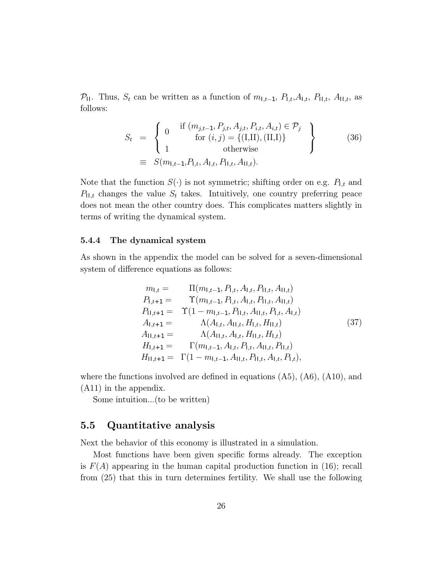P<sub>II</sub>. Thus,  $S_t$  can be written as a function of  $m_{1,t-1}$ ,  $P_{1,t}, A_{1,t}$ ,  $P_{11,t}$ ,  $A_{11,t}$ , as follows:

$$
S_{t} = \begin{cases} 0 & \text{if } (m_{j,t-1}, P_{j,t}, A_{j,t}, P_{i,t}, A_{i,t}) \in \mathcal{P}_{j} \\ \text{for } (i,j) = \{(\text{I},\text{II}), (\text{II},\text{I})\} \\ 1 & \text{otherwise} \end{cases}
$$
 (36)  

$$
\equiv S(m_{1,t-1}, P_{1,t}, A_{1,t}, P_{1,t}, A_{11,t}).
$$

Note that the function  $S(\cdot)$  is not symmetric; shifting order on e.g.  $P_{1,t}$  and  $P_{11,t}$  changes the value  $S_t$  takes. Intuitively, one country preferring peace does not mean the other country does. This complicates matters slightly in terms of writing the dynamical system.

#### 5.4.4 The dynamical system

As shown in the appendix the model can be solved for a seven-dimensional system of difference equations as follows:

$$
m_{l,t} = \Pi(m_{l,t-1}, P_{l,t}, A_{l,t}, P_{l,t}, A_{l,t})
$$
  
\n
$$
P_{l,t+1} = \Upsilon(m_{l,t-1}, P_{l,t}, A_{l,t}, P_{l,t}, A_{l,t})
$$
  
\n
$$
P_{l,t+1} = \Upsilon(1 - m_{l,t-1}, P_{l,t}, A_{l,t}, P_{l,t}, A_{l,t})
$$
  
\n
$$
A_{l,t+1} = \Lambda(A_{l,t}, A_{l,t}, H_{l,t}, H_{l,t})
$$
  
\n
$$
H_{l,t+1} = \Gamma(m_{l,t-1}, A_{l,t}, P_{l,t}, A_{l,t}, P_{l,t})
$$
  
\n
$$
H_{l,t+1} = \Gamma(1 - m_{l,t-1}, A_{l,t}, P_{l,t}, A_{l,t}, P_{l,t}),
$$
\n
$$
(37)
$$

where the functions involved are defined in equations  $(A5)$ ,  $(A6)$ ,  $(A10)$ , and (A11) in the appendix.

Some intuition...(to be written)

# 5.5 Quantitative analysis

Next the behavior of this economy is illustrated in a simulation.

Most functions have been given specific forms already. The exception is  $F(A)$  appearing in the human capital production function in (16); recall from (25) that this in turn determines fertility. We shall use the following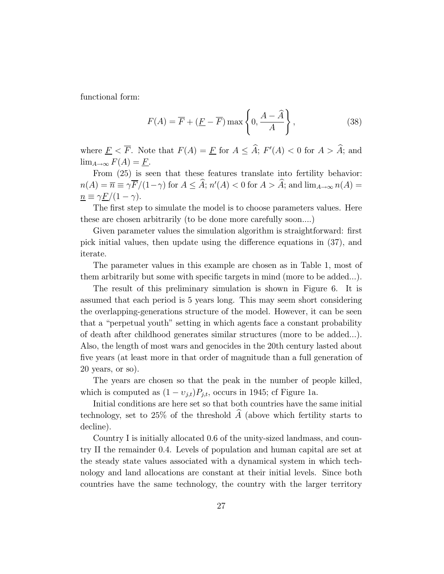functional form:

$$
F(A) = \overline{F} + (\underline{F} - \overline{F}) \max\left\{0, \frac{A - \widehat{A}}{A}\right\},
$$
 (38)

where  $\underline{F} < F$ . Note that  $F(A) = \underline{F}$  for  $A \leq A$ ;  $F'(A) < 0$  for  $A > A$ ; and  $\lim_{A\to\infty} F(A) = \underline{F}.$ 

From  $(25)$  is seen that these features translate into fertility behavior:  $n(A) = \overline{n} \equiv \gamma F/(1-\gamma)$  for  $A \leq A; n'(A) < 0$  for  $A > A;$  and  $\lim_{A \to \infty} n(A) =$  $n \equiv \gamma \frac{F}{(1 - \gamma)}$ .

The first step to simulate the model is to choose parameters values. Here these are chosen arbitrarily (to be done more carefully soon....)

Given parameter values the simulation algorithm is straightforward: first pick initial values, then update using the difference equations in (37), and iterate.

The parameter values in this example are chosen as in Table 1, most of them arbitrarily but some with specific targets in mind (more to be added...).

The result of this preliminary simulation is shown in Figure 6. It is assumed that each period is 5 years long. This may seem short considering the overlapping-generations structure of the model. However, it can be seen that a "perpetual youth" setting in which agents face a constant probability of death after childhood generates similar structures (more to be added...). Also, the length of most wars and genocides in the 20th century lasted about five years (at least more in that order of magnitude than a full generation of 20 years, or so).

The years are chosen so that the peak in the number of people killed, which is computed as  $(1 - v_{j,t})P_{j,t}$ , occurs in 1945; cf Figure 1a.

Initial conditions are here set so that both countries have the same initial technology, set to 25% of the threshold  $\widehat{A}$  (above which fertility starts to decline).

Country I is initially allocated 0.6 of the unity-sized landmass, and country II the remainder 0.4. Levels of population and human capital are set at the steady state values associated with a dynamical system in which technology and land allocations are constant at their initial levels. Since both countries have the same technology, the country with the larger territory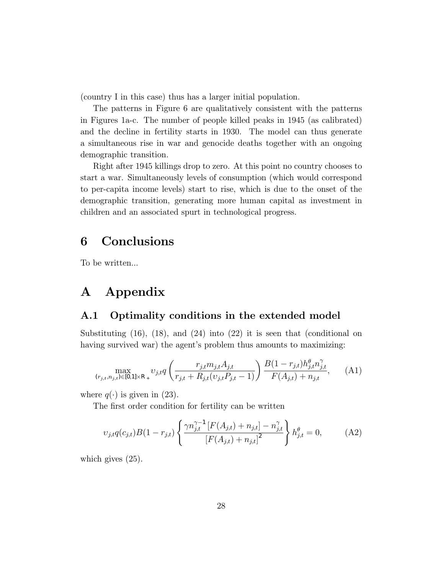(country I in this case) thus has a larger initial population.

The patterns in Figure 6 are qualitatively consistent with the patterns in Figures 1a-c. The number of people killed peaks in 1945 (as calibrated) and the decline in fertility starts in 1930. The model can thus generate a simultaneous rise in war and genocide deaths together with an ongoing demographic transition.

Right after 1945 killings drop to zero. At this point no country chooses to start a war. Simultaneously levels of consumption (which would correspond to per-capita income levels) start to rise, which is due to the onset of the demographic transition, generating more human capital as investment in children and an associated spurt in technological progress.

# 6 Conclusions

To be written...

# A Appendix

# A.1 Optimality conditions in the extended model

Substituting  $(16)$ ,  $(18)$ , and  $(24)$  into  $(22)$  it is seen that (conditional on having survived war) the agent's problem thus amounts to maximizing:

$$
\max_{(r_{j,t}, n_{j,t}) \in [0,1] \times \mathbb{R}_+} v_{j,t} q\left(\frac{r_{j,t} m_{j,t} A_{j,t}}{r_{j,t} + R_{j,t}(v_{j,t} P_{j,t} - 1)}\right) \frac{B(1 - r_{j,t}) h_{j,t}^{\theta} n_{j,t}^{\gamma}}{F(A_{j,t}) + n_{j,t}}, \tag{A1}
$$

where  $q(\cdot)$  is given in (23).

The first order condition for fertility can be written

$$
v_{j,t}q(c_{j,t})B(1-r_{j,t})\left\{\frac{\gamma n_{j,t}^{\gamma-1}\left[F(A_{j,t})+n_{j,t}\right]-n_{j,t}^{\gamma}}{\left[F(A_{j,t})+n_{j,t}\right]^2}\right\}h_{j,t}^{\theta}=0,
$$
 (A2)

which gives (25).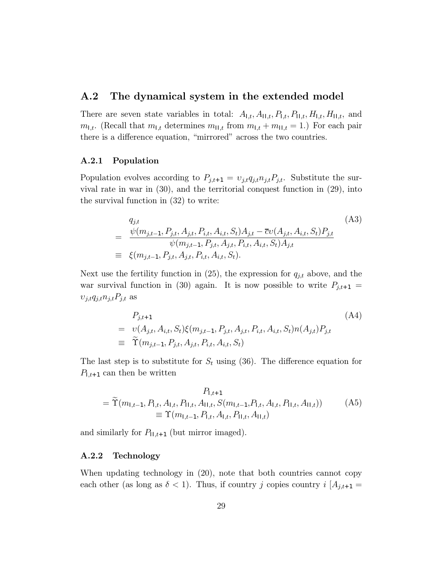### A.2 The dynamical system in the extended model

There are seven state variables in total:  $A_{\mathsf{I},t}, A_{\mathsf{II},t}, P_{\mathsf{I},t}, P_{\mathsf{II},t}, H_{\mathsf{II},t}, H_{\mathsf{II},t}$ , and  $m_{1,t}$ . (Recall that  $m_{1,t}$  determines  $m_{1,t}$  from  $m_{1,t} + m_{11,t} = 1$ .) For each pair there is a difference equation, "mirrored" across the two countries.

#### A.2.1 Population

Population evolves according to  $P_{j,t+1} = v_{j,t}q_{j,t}n_{j,t}P_{j,t}$ . Substitute the survival rate in war in (30), and the territorial conquest function in (29), into the survival function in (32) to write:

$$
q_{j,t} = \frac{\psi(m_{j,t-1}, P_{j,t}, A_{j,t}, P_{i,t}, A_{i,t}, S_t)A_{j,t} - \overline{c}v(A_{j,t}, A_{i,t}, S_t)P_{j,t}}{\psi(m_{j,t-1}, P_{j,t}, A_{j,t}, P_{i,t}, A_{i,t}, S_t)A_{j,t}}
$$
\n
$$
\equiv \xi(m_{j,t-1}, P_{j,t}, A_{j,t}, P_{i,t}, A_{i,t}, S_t).
$$
\n(A3)

Next use the fertility function in (25), the expression for  $q_{j,t}$  above, and the war survival function in (30) again. It is now possible to write  $P_{j,t+1} =$  $\upsilon_{j,t}q_{j,t}n_{j,t}P_{j,t}$  as

$$
P_{j,t+1} = v(A_{j,t}, A_{i,t}, S_t) \xi(m_{j,t-1}, P_{j,t}, A_{j,t}, P_{i,t}, A_{i,t}, S_t) n(A_{j,t}) P_{j,t}
$$
  
\n
$$
\equiv \widetilde{\Upsilon}(m_{j,t-1}, P_{j,t}, A_{j,t}, P_{i,t}, A_{i,t}, S_t)
$$
 (A4)

The last step is to substitute for  $S_t$  using (36). The difference equation for  $P_{1,t+1}$  can then be written

$$
P_{1,t+1}
$$
  
=  $\tilde{\Upsilon}(m_{1,t-1}, P_{1,t}, A_{1,t}, P_{11,t}, A_{11,t}, S(m_{1,t-1}, P_{1,t}, A_{1,t}, P_{11,t}, A_{11,t}))$  (A5)  

$$
\equiv \Upsilon(m_{1,t-1}, P_{1,t}, A_{1,t}, P_{11,t}, A_{11,t})
$$

and similarly for  $P_{11,t+1}$  (but mirror imaged).

### A.2.2 Technology

When updating technology in (20), note that both countries cannot copy each other (as long as  $\delta < 1$ ). Thus, if country j copies country  $i\left[A_{j,t+1}\right]=$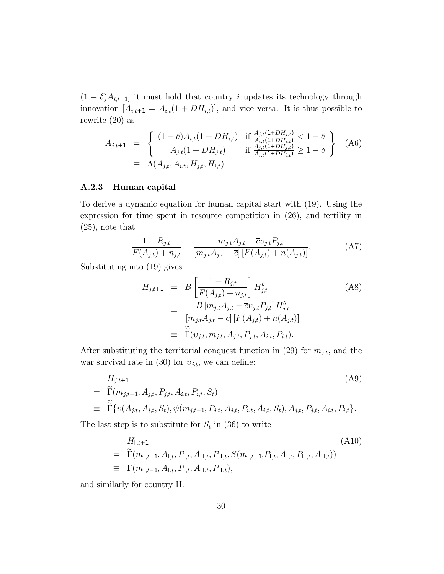$(1 - \delta)A_{i,t+1}$  it must hold that country i updates its technology through innovation  $[A_{i,t+1} = A_{i,t}(1 + DH_{i,t})]$ , and vice versa. It is thus possible to rewrite (20) as

$$
A_{j,t+1} = \begin{cases} (1 - \delta) A_{i,t} (1 + DH_{i,t}) & \text{if } \frac{A_{j,t} (1 + DH_{j,t})}{A_{i,t} (1 + DH_{i,t})} < 1 - \delta \\ A_{j,t} (1 + DH_{j,t}) & \text{if } \frac{A_{j,t} (1 + DH_{j,t})}{A_{i,t} (1 + DH_{i,t})} \ge 1 - \delta \end{cases}
$$
 (A6)  

$$
\equiv \Lambda(A_{j,t}, A_{i,t}, H_{j,t}, H_{i,t}).
$$

#### A.2.3 Human capital

To derive a dynamic equation for human capital start with (19). Using the expression for time spent in resource competition in (26), and fertility in (25), note that

$$
\frac{1 - R_{j,t}}{F(A_{j,t}) + n_{j,t}} = \frac{m_{j,t}A_{j,t} - \overline{c}v_{j,t}P_{j,t}}{[m_{j,t}A_{j,t} - \overline{c}][F(A_{j,t}) + n(A_{j,t})]},
$$
\n(A7)

Substituting into (19) gives

$$
H_{j,t+1} = B\left[\frac{1 - R_{j,t}}{F(A_{j,t}) + n_{j,t}}\right] H_{j,t}^{\theta}
$$
\n
$$
= \frac{B\left[m_{j,t}A_{j,t} - \overline{c}v_{j,t}P_{j,t}\right] H_{j,t}^{\theta}}{\left[m_{j,t}A_{j,t} - \overline{c}\right]\left[F(A_{j,t}) + n(A_{j,t})\right]}
$$
\n
$$
\equiv \widetilde{\Gamma}(v_{j,t}, m_{j,t}, A_{j,t}, P_{j,t}, A_{i,t}, P_{i,t}).
$$
\n(A8)

After substituting the territorial conquest function in (29) for  $m_{j,t}$ , and the war survival rate in (30) for  $v_{j,t}$ , we can define:

$$
H_{j,t+1} = \tilde{\Gamma}(m_{j,t-1}, A_{j,t}, P_{j,t}, A_{i,t}, P_{i,t}, S_t)
$$
  
=  $\tilde{\Gamma}\{v(A_{j,t}, A_{i,t}, S_t), \psi(m_{j,t-1}, P_{j,t}, A_{j,t}, P_{i,t}, A_{i,t}, S_t), A_{j,t}, P_{j,t}, A_{i,t}, P_{i,t}\}.$  (A9)

The last step is to substitute for  $S_t$  in (36) to write

$$
H_{\mathsf{l},t+1} = \widetilde{\Gamma}(m_{\mathsf{l},t-1}, A_{\mathsf{l},t}, P_{\mathsf{l},t}, A_{\mathsf{l}\mathsf{l},t}, P_{\mathsf{l}\mathsf{l},t}, S(m_{\mathsf{l},t-1}, P_{\mathsf{l},t}, A_{\mathsf{l},t}, P_{\mathsf{l}\mathsf{l},t}, A_{\mathsf{l}\mathsf{l},t})
$$
\n
$$
\equiv \Gamma(m_{\mathsf{l},t-1}, A_{\mathsf{l},t}, P_{\mathsf{l},t}, A_{\mathsf{l}\mathsf{l},t}, P_{\mathsf{l}\mathsf{l},t})
$$
\n(A10)

and similarly for country II.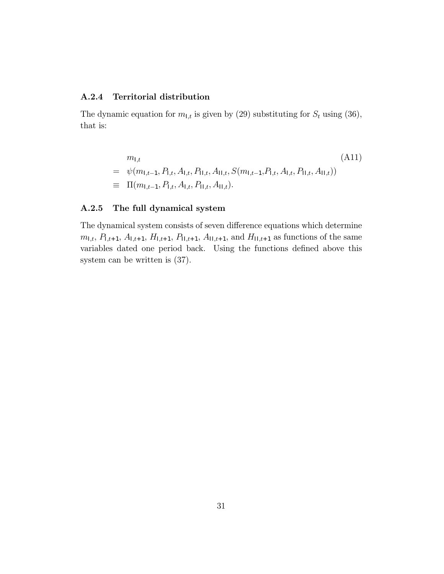### A.2.4 Territorial distribution

The dynamic equation for  $m_{1,t}$  is given by (29) substituting for  $S_t$  using (36), that is:

$$
m_{l,t}
$$
\n
$$
= \psi(m_{l,t-1}, P_{l,t}, A_{l,t}, P_{l,l,t}, A_{l,l,t}, S(m_{l,t-1}, P_{l,t}, A_{l,t}, P_{l,l,t}, A_{l,l,t}))
$$
\n
$$
\equiv \Pi(m_{l,t-1}, P_{l,t}, A_{l,t}, P_{l,l,t}, A_{l,l,t}).
$$
\n(A11)

#### A.2.5 The full dynamical system

The dynamical system consists of seven difference equations which determine  $m_{1,t}, P_{1,t+1}, A_{1,t+1}, H_{1,t+1}, P_{11,t+1}, A_{11,t+1}$ , and  $H_{11,t+1}$  as functions of the same variables dated one period back. Using the functions defined above this system can be written is (37).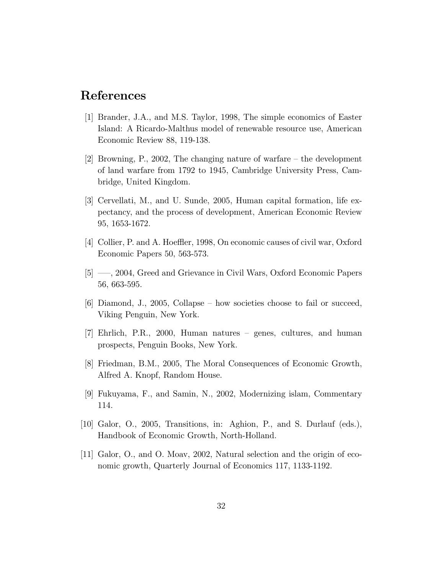# References

- [1] Brander, J.A., and M.S. Taylor, 1998, The simple economics of Easter Island: A Ricardo-Malthus model of renewable resource use, American Economic Review 88, 119-138.
- [2] Browning, P., 2002, The changing nature of warfare  $-$  the development of land warfare from 1792 to 1945, Cambridge University Press, Cambridge, United Kingdom.
- [3] Cervellati, M., and U. Sunde, 2005, Human capital formation, life expectancy, and the process of development, American Economic Review 95, 1653-1672.
- [4] Collier, P. and A. Hoeffler, 1998, On economic causes of civil war, Oxford Economic Papers 50, 563-573.
- [5] —, 2004, Greed and Grievance in Civil Wars, Oxford Economic Papers 56, 663-595.
- $[6]$  Diamond, J., 2005, Collapse how societies choose to fail or succeed, Viking Penguin, New York.
- $|7|$  Ehrlich, P.R., 2000, Human natures genes, cultures, and human prospects, Penguin Books, New York.
- [8] Friedman, B.M., 2005, The Moral Consequences of Economic Growth, Alfred A. Knopf, Random House.
- [9] Fukuyama, F., and Samin, N., 2002, Modernizing islam, Commentary 114.
- [10] Galor, O., 2005, Transitions, in: Aghion, P., and S. Durlauf (eds.), Handbook of Economic Growth, North-Holland.
- [11] Galor, O., and O. Moav, 2002, Natural selection and the origin of economic growth, Quarterly Journal of Economics 117, 1133-1192.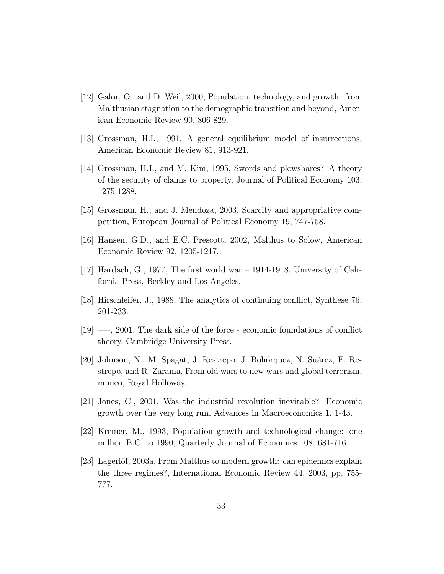- [12] Galor, O., and D. Weil, 2000, Population, technology, and growth: from Malthusian stagnation to the demographic transition and beyond, American Economic Review 90, 806-829.
- [13] Grossman, H.I., 1991, A general equilibrium model of insurrections, American Economic Review 81, 913-921.
- [14] Grossman, H.I., and M. Kim, 1995, Swords and plowshares? A theory of the security of claims to property, Journal of Political Economy 103, 1275-1288.
- [15] Grossman, H., and J. Mendoza, 2003, Scarcity and appropriative competition, European Journal of Political Economy 19, 747-758.
- [16] Hansen, G.D., and E.C. Prescott, 2002, Malthus to Solow, American Economic Review 92, 1205-1217.
- [17] Hardach, G., 1977, The first world war  $-$  1914-1918, University of California Press, Berkley and Los Angeles.
- [18] Hirschleifer, J., 1988, The analytics of continuing conflict, Synthese 76, 201-233.
- $[19]$  —, 2001, The dark side of the force economic foundations of conflict theory, Cambridge University Press.
- [20] Johnson, N., M. Spagat, J. Restrepo, J. Bohórquez, N. Suárez, E. Restrepo, and R. Zarama, From old wars to new wars and global terrorism, mimeo, Royal Holloway.
- [21] Jones, C., 2001, Was the industrial revolution inevitable? Economic growth over the very long run, Advances in Macroeconomics 1, 1-43.
- [22] Kremer, M., 1993, Population growth and technological change: one million B.C. to 1990, Quarterly Journal of Economics 108, 681-716.
- [23] Lagerlöf, 2003a, From Malthus to modern growth: can epidemics explain the three regimes?, International Economic Review 44, 2003, pp. 755- 777.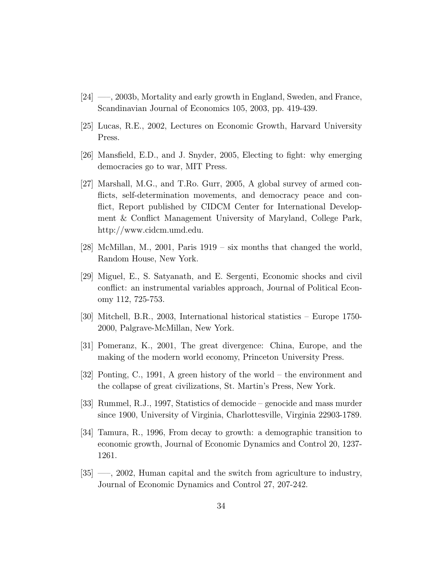- $[24] \longrightarrow$ , 2003b, Mortality and early growth in England, Sweden, and France, Scandinavian Journal of Economics 105, 2003, pp. 419-439.
- [25] Lucas, R.E., 2002, Lectures on Economic Growth, Harvard University Press.
- [26] Mansfield, E.D., and J. Snyder, 2005, Electing to fight: why emerging democracies go to war, MIT Press.
- [27] Marshall, M.G., and T.Ro. Gurr, 2005, A global survey of armed conflicts, self-determination movements, and democracy peace and conflict, Report published by CIDCM Center for International Development & Conflict Management University of Maryland, College Park, http://www.cidcm.umd.edu.
- [28] McMillan, M., 2001, Paris  $1919 s\bar{x}$  months that changed the world, Random House, New York.
- [29] Miguel, E., S. Satyanath, and E. Sergenti, Economic shocks and civil conflict: an instrumental variables approach, Journal of Political Economy 112, 725-753.
- [30] Mitchell, B.R., 2003, International historical statistics Europe 1750-2000, Palgrave-McMillan, New York.
- [31] Pomeranz, K., 2001, The great divergence: China, Europe, and the making of the modern world economy, Princeton University Press.
- [32] Ponting, C., 1991, A green history of the world  $-$  the environment and the collapse of great civilizations, St. Martin's Press, New York.
- $[33]$  Rummel, R.J., 1997, Statistics of democide genocide and mass murder since 1900, University of Virginia, Charlottesville, Virginia 22903-1789.
- [34] Tamura, R., 1996, From decay to growth: a demographic transition to economic growth, Journal of Economic Dynamics and Control 20, 1237- 1261.
- $[35]$  —, 2002, Human capital and the switch from agriculture to industry, Journal of Economic Dynamics and Control 27, 207-242.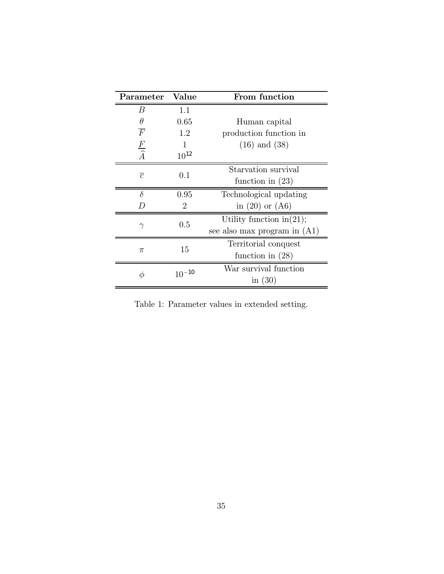| Parameter           | Value                       | From function                  |
|---------------------|-----------------------------|--------------------------------|
| B                   | 1.1                         |                                |
| θ                   | 0.65                        | Human capital                  |
| $\overline{F}$      | 1.2                         | production function in         |
| $\frac{F}{\hat{A}}$ |                             | $(16)$ and $(38)$              |
|                     | $10^{12}$                   |                                |
| $\overline{c}$      | 0.1                         | Starvation survival            |
|                     |                             | function in $(23)$             |
| $\delta$            | 0.95                        | Technological updating         |
| $\overline{D}$      | $\mathcal{D}_{\mathcal{L}}$ | in $(20)$ or $(46)$            |
| $\gamma$            | 0.5                         | Utility function in $(21)$ ;   |
|                     |                             | see also max program in $(A1)$ |
| $\pi$               | 15                          | Territorial conquest           |
|                     |                             | function in $(28)$             |
| Φ                   | $10^{-10}$                  | War survival function          |
|                     |                             | in $(30)$                      |

Table 1: Parameter values in extended setting.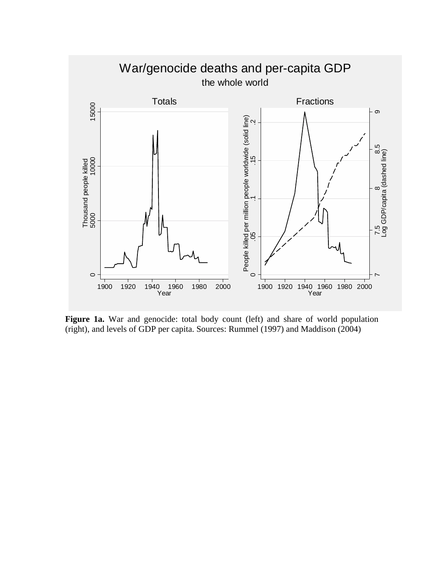

**Figure 1a.** War and genocide: total body count (left) and share of world population (right), and levels of GDP per capita. Sources: Rummel (1997) and Maddison (2004)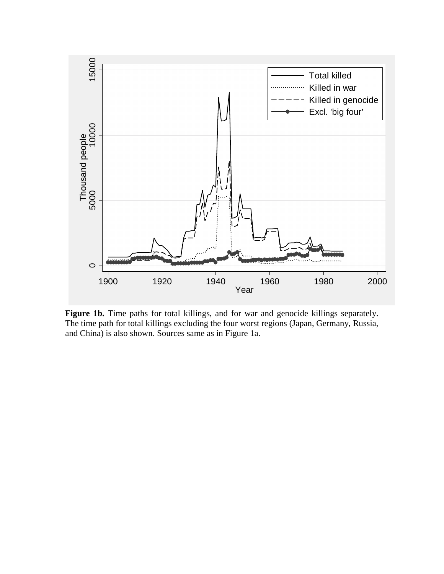

**Figure 1b.** Time paths for total killings, and for war and genocide killings separately. The time path for total killings excluding the four worst regions (Japan, Germany, Russia, and China) is also shown. Sources same as in Figure 1a.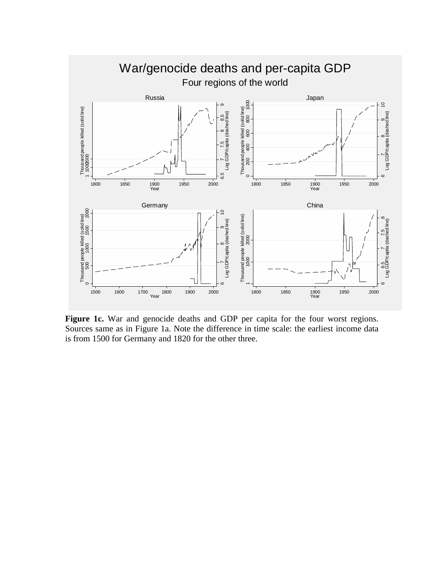

**Figure 1c.** War and genocide deaths and GDP per capita for the four worst regions. Sources same as in Figure 1a. Note the difference in time scale: the earliest income data is from 1500 for Germany and 1820 for the other three.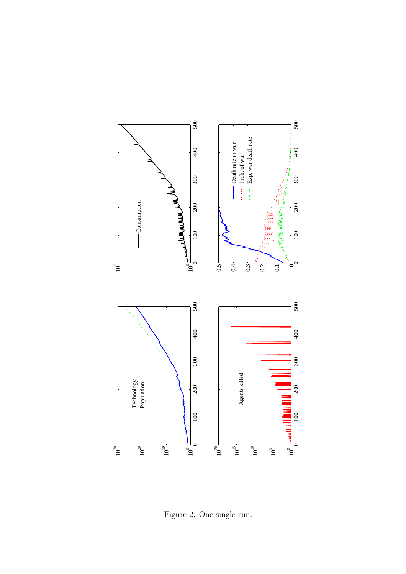

Figure 2: One single run.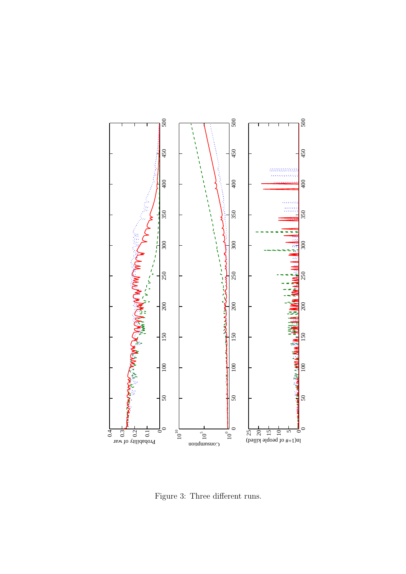

Figure 3: Three different runs.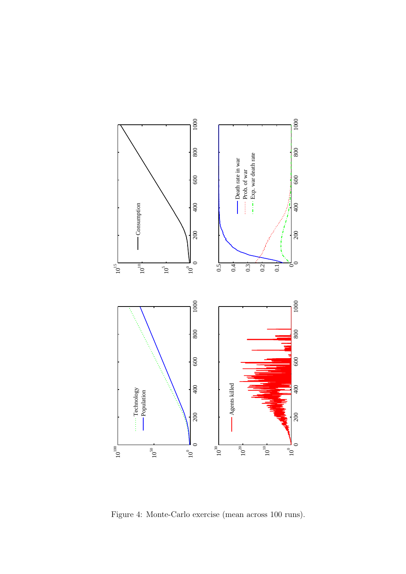

Figure 4: Monte-Carlo exercise (mean across 100 runs).